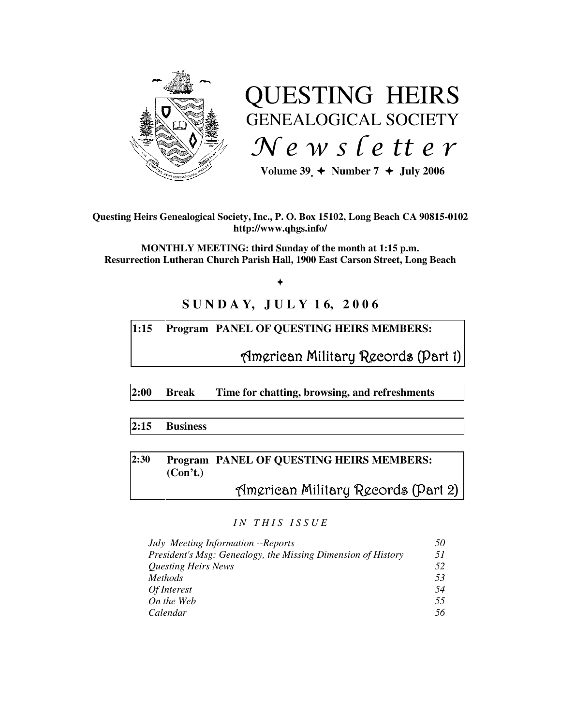

# QUESTING HEIRS GENEALOGICAL SOCIETY  $Ne$  w s letter

Volume  $39 \div \text{Number 7} \div \text{July 2006}$ 

**Questing Heirs Genealogical Society, Inc., P. O. Box 15102, Long Beach CA 90815-0102 http://www.qhgs.info/** 

**MONTHLY MEETING: third Sunday of the month at 1:15 p.m. Resurrection Lutheran Church Parish Hall, 1900 East Carson Street, Long Beach** 

 $+$ 

# **S U N D A Y, J U L Y 1 6, 2 0 0 6**

## **1:15 Program PANEL OF QUESTING HEIRS MEMBERS:**

American Military Records (Part 1)

**2:00 Break Time for chatting, browsing, and refreshments** 

#### **2:15 Business**

# **2:30 Program PANEL OF QUESTING HEIRS MEMBERS: (Con't.)**

# American Military Records (Part 2)

#### *I N T H I S I S S U E*

| July Meeting Information -- Reports                          | 50  |
|--------------------------------------------------------------|-----|
| President's Msg: Genealogy, the Missing Dimension of History | 51  |
| <b>Questing Heirs News</b>                                   | 52  |
| <i>Methods</i>                                               | 53  |
| Of Interest                                                  | .54 |
| On the Web                                                   | 55  |
| Calendar                                                     | 56  |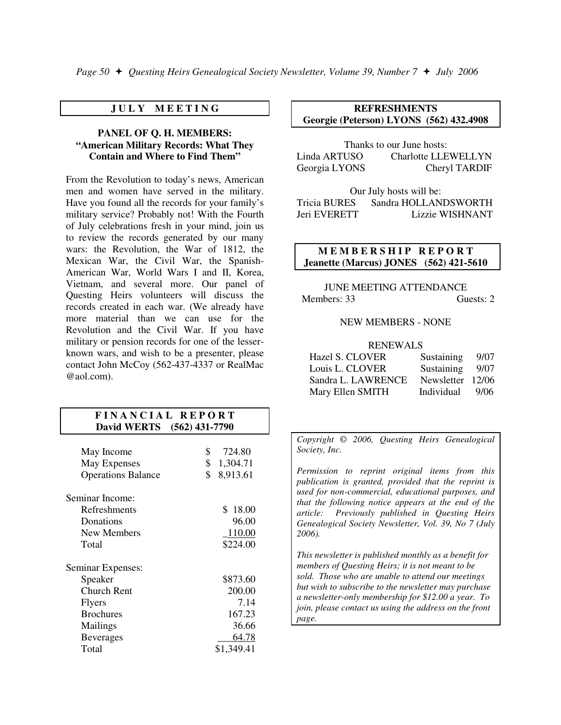#### **J U L Y M E E T I N G**

#### **PANEL OF Q. H. MEMBERS: "American Military Records: What They Contain and Where to Find Them"**

From the Revolution to today's news, American men and women have served in the military. Have you found all the records for your family's military service? Probably not! With the Fourth of July celebrations fresh in your mind, join us to review the records generated by our many wars: the Revolution, the War of 1812, the Mexican War, the Civil War, the Spanish-American War, World Wars I and II, Korea, Vietnam, and several more. Our panel of Questing Heirs volunteers will discuss the records created in each war. (We already have more material than we can use for the Revolution and the Civil War. If you have military or pension records for one of the lesserknown wars, and wish to be a presenter, please contact John McCoy (562-437-4337 or RealMac @aol.com).

#### **F I N A N C I A L R E P O R T David WERTS (562) 431-7790**

| May Income<br>May Expenses<br><b>Operations Balance</b> | \$<br>\$<br>\$ | 724.80<br>1,304.71<br>8,913.61 |
|---------------------------------------------------------|----------------|--------------------------------|
| Seminar Income:                                         |                |                                |
| Refreshments                                            |                | $\mathbf{s}$<br>18.00          |
| Donations                                               |                | 96.00                          |
| New Members                                             |                | 110.00                         |
| Total                                                   |                | \$224.00                       |
| Seminar Expenses:                                       |                |                                |
| Speaker                                                 |                | \$873.60                       |
| <b>Church Rent</b>                                      |                | 200.00                         |
| <b>Flyers</b>                                           |                | 7.14                           |
| <b>Brochures</b>                                        |                | 167.23                         |
| Mailings                                                |                | 36.66                          |
| <b>Beverages</b>                                        |                | 64.78                          |
| Total                                                   |                | \$1,349.41                     |

#### **REFRESHMENTS Georgie (Peterson) LYONS (562) 432.4908**

Thanks to our June hosts: Linda ARTUSO Charlotte LLEWELLYN Georgia LYONS Cheryl TARDIF

Our July hosts will be: Tricia BURES Sandra HOLLANDSWORTH Jeri EVERETT Lizzie WISHNANT

#### **MEMBERSHIP REPORT Jeanette (Marcus) JONES (562) 421-5610**

JUNE MEETING ATTENDANCE Members: 33 Guests: 2

#### NEW MEMBERS - NONE

#### RENEWALS

| <b>Hazel S. CLOVER</b> | Sustaining       | 9/07 |
|------------------------|------------------|------|
| Louis L. CLOVER        | Sustaining       | 9/07 |
| Sandra L. LAWRENCE     | Newsletter 12/06 |      |
| Mary Ellen SMITH       | Individual       | 9/06 |

*Copyright* © *2006, Questing Heirs Genealogical Society, Inc.* 

*Permission to reprint original items from this publication is granted, provided that the reprint is used for non-commercial, educational purposes, and that the following notice appears at the end of the article: Previously published in Questing Heirs Genealogical Society Newsletter, Vol. 39, No 7 (July 2006).* 

*This newsletter is published monthly as a benefit for members of Questing Heirs; it is not meant to be sold. Those who are unable to attend our meetings but wish to subscribe to the newsletter may purchase a newsletter-only membership for \$12.00 a year. To join, please contact us using the address on the front page.*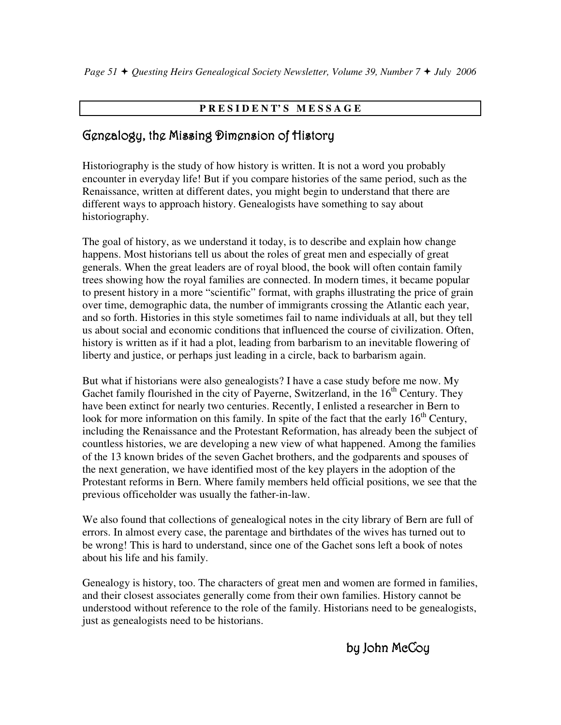# **P R E S I D E N T' S M E S S A G E**

# Genealogy, the Missing Dimension of History

Historiography is the study of how history is written. It is not a word you probably encounter in everyday life! But if you compare histories of the same period, such as the Renaissance, written at different dates, you might begin to understand that there are different ways to approach history. Genealogists have something to say about historiography.

The goal of history, as we understand it today, is to describe and explain how change happens. Most historians tell us about the roles of great men and especially of great generals. When the great leaders are of royal blood, the book will often contain family trees showing how the royal families are connected. In modern times, it became popular to present history in a more "scientific" format, with graphs illustrating the price of grain over time, demographic data, the number of immigrants crossing the Atlantic each year, and so forth. Histories in this style sometimes fail to name individuals at all, but they tell us about social and economic conditions that influenced the course of civilization. Often, history is written as if it had a plot, leading from barbarism to an inevitable flowering of liberty and justice, or perhaps just leading in a circle, back to barbarism again.

But what if historians were also genealogists? I have a case study before me now. My Gachet family flourished in the city of Payerne, Switzerland, in the  $16<sup>th</sup>$  Century. They have been extinct for nearly two centuries. Recently, I enlisted a researcher in Bern to look for more information on this family. In spite of the fact that the early  $16<sup>th</sup>$  Century, including the Renaissance and the Protestant Reformation, has already been the subject of countless histories, we are developing a new view of what happened. Among the families of the 13 known brides of the seven Gachet brothers, and the godparents and spouses of the next generation, we have identified most of the key players in the adoption of the Protestant reforms in Bern. Where family members held official positions, we see that the previous officeholder was usually the father-in-law.

We also found that collections of genealogical notes in the city library of Bern are full of errors. In almost every case, the parentage and birthdates of the wives has turned out to be wrong! This is hard to understand, since one of the Gachet sons left a book of notes about his life and his family.

Genealogy is history, too. The characters of great men and women are formed in families, and their closest associates generally come from their own families. History cannot be understood without reference to the role of the family. Historians need to be genealogists, just as genealogists need to be historians.

by John McCoy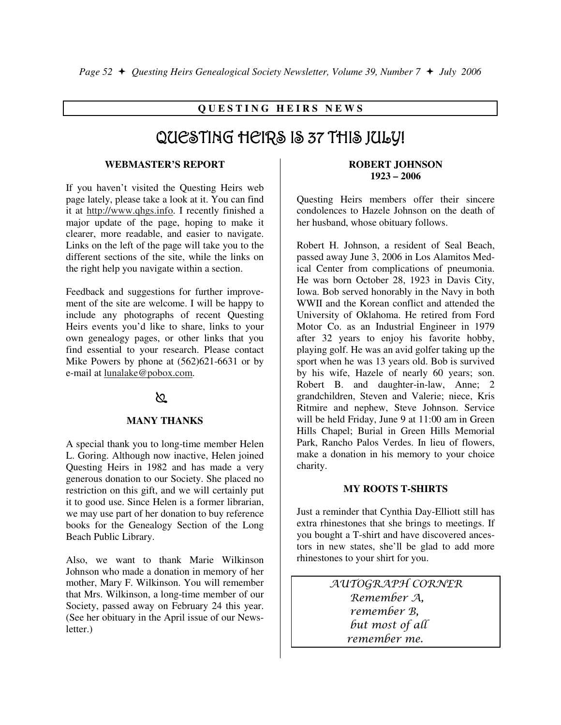### **Q U E S T I N G H E I R S N E W S**

# QUESTING HEIRS IS 37 THIS JULY!

#### **WEBMASTER'S REPORT**

If you haven't visited the Questing Heirs web page lately, please take a look at it. You can find it at http://www.qhgs.info. I recently finished a major update of the page, hoping to make it clearer, more readable, and easier to navigate. Links on the left of the page will take you to the different sections of the site, while the links on the right help you navigate within a section.

Feedback and suggestions for further improvement of the site are welcome. I will be happy to include any photographs of recent Questing Heirs events you'd like to share, links to your own genealogy pages, or other links that you find essential to your research. Please contact Mike Powers by phone at (562)621-6631 or by e-mail at lunalake@pobox.com.

### ∖೭

#### **MANY THANKS**

A special thank you to long-time member Helen L. Goring. Although now inactive, Helen joined Questing Heirs in 1982 and has made a very generous donation to our Society. She placed no restriction on this gift, and we will certainly put it to good use. Since Helen is a former librarian, we may use part of her donation to buy reference books for the Genealogy Section of the Long Beach Public Library.

Also, we want to thank Marie Wilkinson Johnson who made a donation in memory of her mother, Mary F. Wilkinson. You will remember that Mrs. Wilkinson, a long-time member of our Society, passed away on February 24 this year. (See her obituary in the April issue of our Newsletter.)

#### **ROBERT JOHNSON 1923 – 2006**

Questing Heirs members offer their sincere condolences to Hazele Johnson on the death of her husband, whose obituary follows.

Robert H. Johnson, a resident of Seal Beach, passed away June 3, 2006 in Los Alamitos Medical Center from complications of pneumonia. He was born October 28, 1923 in Davis City, Iowa. Bob served honorably in the Navy in both WWII and the Korean conflict and attended the University of Oklahoma. He retired from Ford Motor Co. as an Industrial Engineer in 1979 after 32 years to enjoy his favorite hobby, playing golf. He was an avid golfer taking up the sport when he was 13 years old. Bob is survived by his wife, Hazele of nearly 60 years; son. Robert B. and daughter-in-law, Anne; 2 grandchildren, Steven and Valerie; niece, Kris Ritmire and nephew, Steve Johnson. Service will be held Friday, June 9 at 11:00 am in Green Hills Chapel; Burial in Green Hills Memorial Park, Rancho Palos Verdes. In lieu of flowers, make a donation in his memory to your choice charity.

#### **MY ROOTS T-SHIRTS**

Just a reminder that Cynthia Day-Elliott still has extra rhinestones that she brings to meetings. If you bought a T-shirt and have discovered ancestors in new states, she'll be glad to add more rhinestones to your shirt for you.

> AUTOGRAPH CORNER Remember A, remember B, but most of all remember me.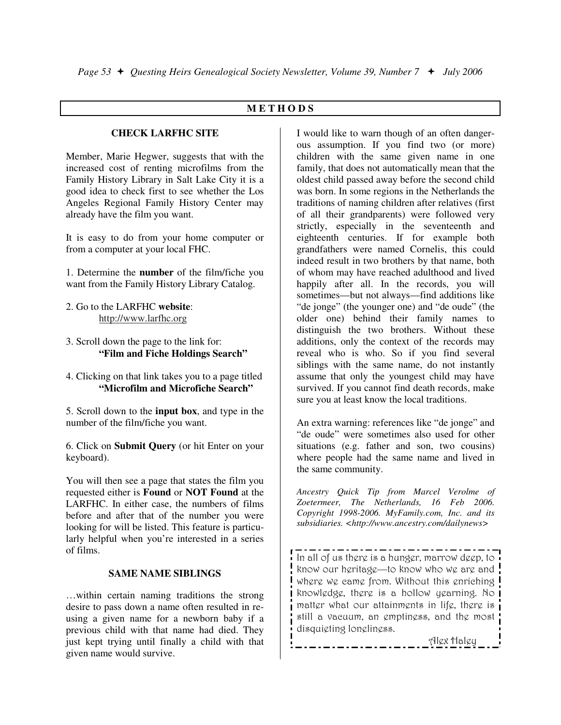#### **M E T H O D S**

#### **CHECK LARFHC SITE**

Member, Marie Hegwer, suggests that with the increased cost of renting microfilms from the Family History Library in Salt Lake City it is a good idea to check first to see whether the Los Angeles Regional Family History Center may already have the film you want.

It is easy to do from your home computer or from a computer at your local FHC.

1. Determine the **number** of the film/fiche you want from the Family History Library Catalog.

- 2. Go to the LARFHC **website**: http://www.larfhc.org
- 3. Scroll down the page to the link for: **"Film and Fiche Holdings Search"**
- 4. Clicking on that link takes you to a page titled **"Microfilm and Microfiche Search"**

5. Scroll down to the **input box**, and type in the number of the film/fiche you want.

6. Click on **Submit Query** (or hit Enter on your keyboard).

You will then see a page that states the film you requested either is **Found** or **NOT Found** at the LARFHC. In either case, the numbers of films before and after that of the number you were looking for will be listed. This feature is particularly helpful when you're interested in a series of films.

#### **SAME NAME SIBLINGS**

…within certain naming traditions the strong desire to pass down a name often resulted in reusing a given name for a newborn baby if a previous child with that name had died. They just kept trying until finally a child with that given name would survive.

I would like to warn though of an often dangerous assumption. If you find two (or more) children with the same given name in one family, that does not automatically mean that the oldest child passed away before the second child was born. In some regions in the Netherlands the traditions of naming children after relatives (first of all their grandparents) were followed very strictly, especially in the seventeenth and eighteenth centuries. If for example both grandfathers were named Cornelis, this could indeed result in two brothers by that name, both of whom may have reached adulthood and lived happily after all. In the records, you will sometimes—but not always—find additions like "de jonge" (the younger one) and "de oude" (the older one) behind their family names to distinguish the two brothers. Without these additions, only the context of the records may reveal who is who. So if you find several siblings with the same name, do not instantly assume that only the youngest child may have survived. If you cannot find death records, make sure you at least know the local traditions.

An extra warning: references like "de jonge" and "de oude" were sometimes also used for other situations (e.g. father and son, two cousins) where people had the same name and lived in the same community.

*Ancestry Quick Tip from Marcel Verolme of Zoetermeer, The Netherlands, 16 Feb 2006. Copyright 1998-2006. MyFamily.com, Inc. and its subsidiaries. <http://www.ancestry.com/dailynews>* 

In all of us there is a hunger, marrow deep, to know our heritage—to know who we are and where we came from. Without this enriching knowledge, there is a hollow yearning. No matter what our attainments in life, there is still a vacuum, an emptiness, and the most disquieting loneliness.

Alex Haley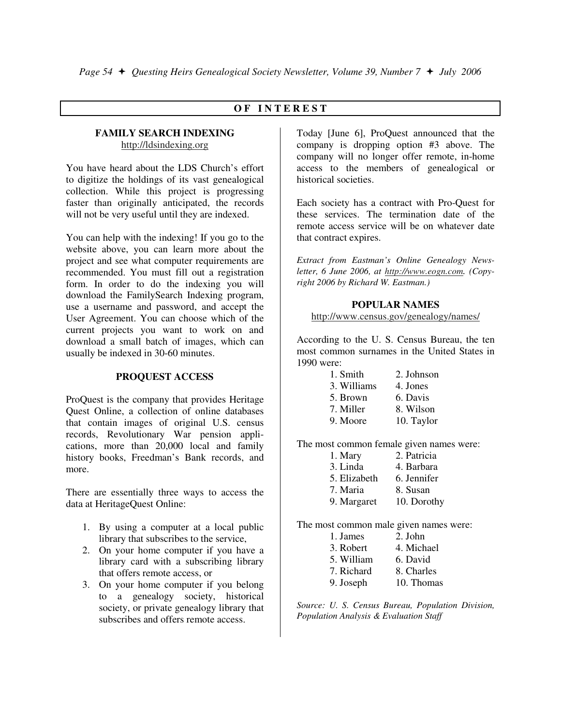#### **O F I N T E R E S T**

#### **FAMILY SEARCH INDEXING**  http://ldsindexing.org

You have heard about the LDS Church's effort to digitize the holdings of its vast genealogical collection. While this project is progressing faster than originally anticipated, the records will not be very useful until they are indexed.

You can help with the indexing! If you go to the website above, you can learn more about the project and see what computer requirements are recommended. You must fill out a registration form. In order to do the indexing you will download the FamilySearch Indexing program, use a username and password, and accept the User Agreement. You can choose which of the current projects you want to work on and download a small batch of images, which can usually be indexed in 30-60 minutes.

#### **PROQUEST ACCESS**

ProQuest is the company that provides Heritage Quest Online, a collection of online databases that contain images of original U.S. census records, Revolutionary War pension applications, more than 20,000 local and family history books, Freedman's Bank records, and more.

There are essentially three ways to access the data at HeritageQuest Online:

- 1. By using a computer at a local public library that subscribes to the service,
- 2. On your home computer if you have a library card with a subscribing library that offers remote access, or
- 3. On your home computer if you belong to a genealogy society, historical society, or private genealogy library that subscribes and offers remote access.

Today [June 6], ProQuest announced that the company is dropping option #3 above. The company will no longer offer remote, in-home access to the members of genealogical or historical societies.

Each society has a contract with Pro-Quest for these services. The termination date of the remote access service will be on whatever date that contract expires.

*Extract from Eastman's Online Genealogy Newsletter, 6 June 2006, at http://www.eogn.com. (Copyright 2006 by Richard W. Eastman.)* 

#### **POPULAR NAMES**

http://www.census.gov/genealogy/names/

According to the U. S. Census Bureau, the ten most common surnames in the United States in 1990 were:

| 1. Smith    | 2. Johnson |
|-------------|------------|
| 3. Williams | 4. Jones   |
| 5. Brown    | 6. Davis   |
| 7. Miller   | 8. Wilson  |
| 9. Moore    | 10. Taylor |

The most common female given names were:

| 1. Mary      | 2. Patricia |
|--------------|-------------|
| 3. Linda     | 4. Barbara  |
| 5. Elizabeth | 6. Jennifer |
| 7. Maria     | 8. Susan    |
| 9. Margaret  | 10. Dorothy |

The most common male given names were:

| 1. James   | 2. John    |
|------------|------------|
| 3. Robert  | 4. Michael |
| 5. William | 6. David   |
| 7. Richard | 8. Charles |
| 9. Joseph  | 10. Thomas |

*Source: U. S. Census Bureau, Population Division, Population Analysis & Evaluation Staff*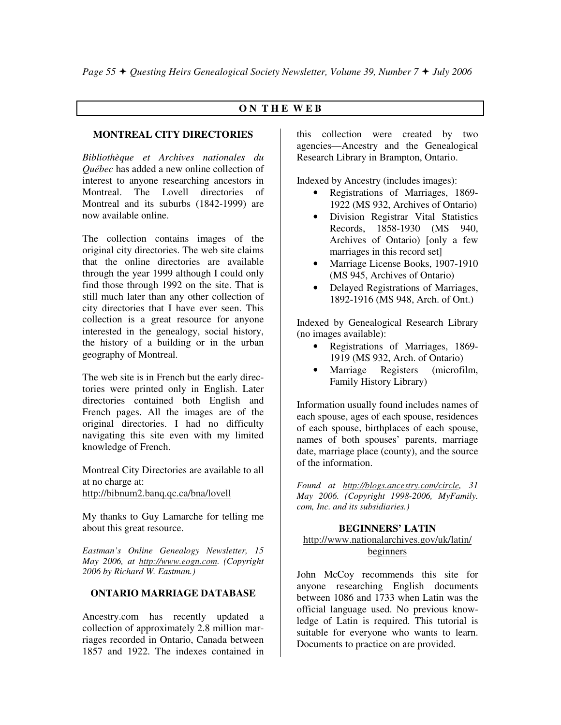#### **O N T H E W E B**

#### **MONTREAL CITY DIRECTORIES**

*Bibliothèque et Archives nationales du Québec* has added a new online collection of interest to anyone researching ancestors in Montreal. The Lovell directories of Montreal and its suburbs (1842-1999) are now available online.

The collection contains images of the original city directories. The web site claims that the online directories are available through the year 1999 although I could only find those through 1992 on the site. That is still much later than any other collection of city directories that I have ever seen. This collection is a great resource for anyone interested in the genealogy, social history, the history of a building or in the urban geography of Montreal.

The web site is in French but the early directories were printed only in English. Later directories contained both English and French pages. All the images are of the original directories. I had no difficulty navigating this site even with my limited knowledge of French.

Montreal City Directories are available to all at no charge at: http://bibnum2.banq.qc.ca/bna/lovell

My thanks to Guy Lamarche for telling me about this great resource.

*Eastman's Online Genealogy Newsletter, 15 May 2006, at http://www.eogn.com. (Copyright 2006 by Richard W. Eastman.)* 

#### **ONTARIO MARRIAGE DATABASE**

Ancestry.com has recently updated a collection of approximately 2.8 million marriages recorded in Ontario, Canada between 1857 and 1922. The indexes contained in

this collection were created by two agencies—Ancestry and the Genealogical Research Library in Brampton, Ontario.

Indexed by Ancestry (includes images):

- Registrations of Marriages, 1869- 1922 (MS 932, Archives of Ontario)
- Division Registrar Vital Statistics Records, 1858-1930 (MS 940, Archives of Ontario) [only a few marriages in this record set]
- Marriage License Books, 1907-1910 (MS 945, Archives of Ontario)
- Delayed Registrations of Marriages, 1892-1916 (MS 948, Arch. of Ont.)

Indexed by Genealogical Research Library (no images available):

- Registrations of Marriages, 1869- 1919 (MS 932, Arch. of Ontario)
- Marriage Registers (microfilm, Family History Library)

Information usually found includes names of each spouse, ages of each spouse, residences of each spouse, birthplaces of each spouse, names of both spouses' parents, marriage date, marriage place (county), and the source of the information.

*Found at http://blogs.ancestry.com/circle, 31 May 2006. (Copyright 1998-2006, MyFamily. com, Inc. and its subsidiaries.)* 

#### **BEGINNERS' LATIN**

#### http://www.nationalarchives.gov/uk/latin/ beginners

John McCoy recommends this site for anyone researching English documents between 1086 and 1733 when Latin was the official language used. No previous knowledge of Latin is required. This tutorial is suitable for everyone who wants to learn. Documents to practice on are provided.